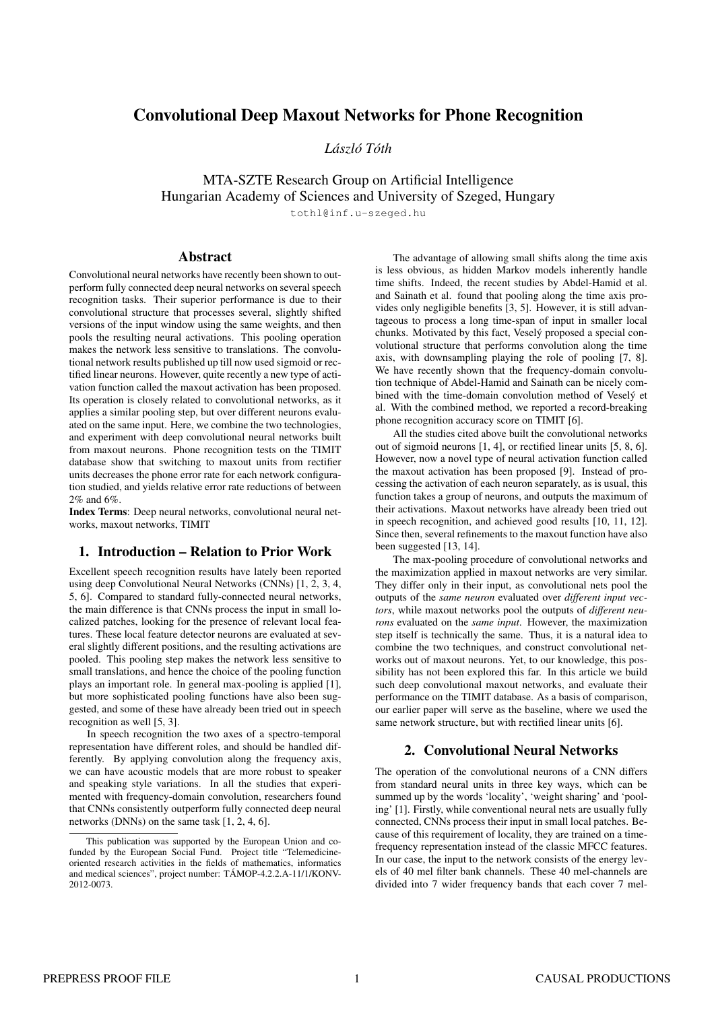# **Convolutional Deep Maxout Networks for Phone Recognition**

*Laszl ´ o´ Toth ´*

MTA-SZTE Research Group on Artificial Intelligence Hungarian Academy of Sciences and University of Szeged, Hungary

tothl@inf.u-szeged.hu

### **Abstract**

Convolutional neural networks have recently been shown to outperform fully connected deep neural networks on several speech recognition tasks. Their superior performance is due to their convolutional structure that processes several, slightly shifted versions of the input window using the same weights, and then pools the resulting neural activations. This pooling operation makes the network less sensitive to translations. The convolutional network results published up till now used sigmoid or rectified linear neurons. However, quite recently a new type of activation function called the maxout activation has been proposed. Its operation is closely related to convolutional networks, as it applies a similar pooling step, but over different neurons evaluated on the same input. Here, we combine the two technologies, and experiment with deep convolutional neural networks built from maxout neurons. Phone recognition tests on the TIMIT database show that switching to maxout units from rectifier units decreases the phone error rate for each network configuration studied, and yields relative error rate reductions of between 2% and 6%.

**Index Terms**: Deep neural networks, convolutional neural networks, maxout networks, TIMIT

# **1. Introduction – Relation to Prior Work**

Excellent speech recognition results have lately been reported using deep Convolutional Neural Networks (CNNs) [1, 2, 3, 4, 5, 6]. Compared to standard fully-connected neural networks, the main difference is that CNNs process the input in small localized patches, looking for the presence of relevant local features. These local feature detector neurons are evaluated at several slightly different positions, and the resulting activations are pooled. This pooling step makes the network less sensitive to small translations, and hence the choice of the pooling function plays an important role. In general max-pooling is applied [1], but more sophisticated pooling functions have also been suggested, and some of these have already been tried out in speech recognition as well [5, 3].

In speech recognition the two axes of a spectro-temporal representation have different roles, and should be handled differently. By applying convolution along the frequency axis, we can have acoustic models that are more robust to speaker and speaking style variations. In all the studies that experimented with frequency-domain convolution, researchers found that CNNs consistently outperform fully connected deep neural networks (DNNs) on the same task [1, 2, 4, 6].

The advantage of allowing small shifts along the time axis is less obvious, as hidden Markov models inherently handle time shifts. Indeed, the recent studies by Abdel-Hamid et al. and Sainath et al. found that pooling along the time axis provides only negligible benefits [3, 5]. However, it is still advantageous to process a long time-span of input in smaller local chunks. Motivated by this fact, Veselý proposed a special convolutional structure that performs convolution along the time axis, with downsampling playing the role of pooling [7, 8]. We have recently shown that the frequency-domain convolution technique of Abdel-Hamid and Sainath can be nicely combined with the time-domain convolution method of Vesel *v* et al. With the combined method, we reported a record-breaking phone recognition accuracy score on TIMIT [6].

All the studies cited above built the convolutional networks out of sigmoid neurons [1, 4], or rectified linear units [5, 8, 6]. However, now a novel type of neural activation function called the maxout activation has been proposed [9]. Instead of processing the activation of each neuron separately, as is usual, this function takes a group of neurons, and outputs the maximum of their activations. Maxout networks have already been tried out in speech recognition, and achieved good results [10, 11, 12]. Since then, several refinements to the maxout function have also been suggested [13, 14].

The max-pooling procedure of convolutional networks and the maximization applied in maxout networks are very similar. They differ only in their input, as convolutional nets pool the outputs of the *same neuron* evaluated over *different input vectors*, while maxout networks pool the outputs of *different neurons* evaluated on the *same input*. However, the maximization step itself is technically the same. Thus, it is a natural idea to combine the two techniques, and construct convolutional networks out of maxout neurons. Yet, to our knowledge, this possibility has not been explored this far. In this article we build such deep convolutional maxout networks, and evaluate their performance on the TIMIT database. As a basis of comparison, our earlier paper will serve as the baseline, where we used the same network structure, but with rectified linear units [6].

### **2. Convolutional Neural Networks**

The operation of the convolutional neurons of a CNN differs from standard neural units in three key ways, which can be summed up by the words 'locality', 'weight sharing' and 'pooling' [1]. Firstly, while conventional neural nets are usually fully connected, CNNs process their input in small local patches. Because of this requirement of locality, they are trained on a timefrequency representation instead of the classic MFCC features. In our case, the input to the network consists of the energy levels of 40 mel filter bank channels. These 40 mel-channels are divided into 7 wider frequency bands that each cover 7 mel-

This publication was supported by the European Union and cofunded by the European Social Fund. Project title "Telemedicineoriented research activities in the fields of mathematics, informatics and medical sciences", project number: TÁMOP-4.2.2.A-11/1/KONV-2012-0073.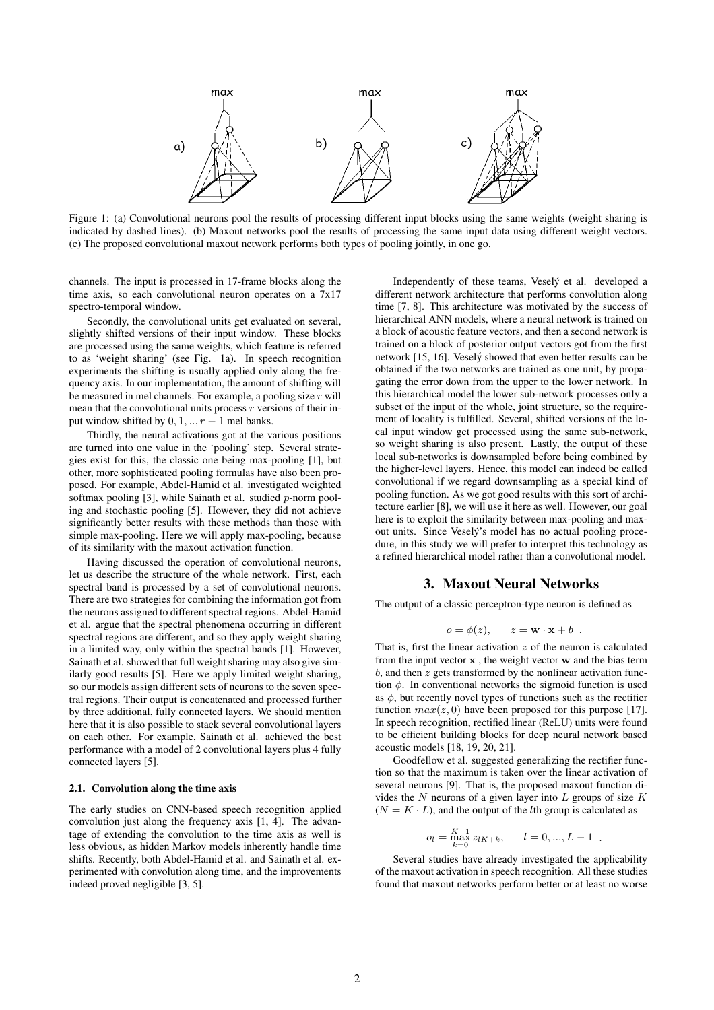

Figure 1: (a) Convolutional neurons pool the results of processing different input blocks using the same weights (weight sharing is indicated by dashed lines). (b) Maxout networks pool the results of processing the same input data using different weight vectors. (c) The proposed convolutional maxout network performs both types of pooling jointly, in one go.

channels. The input is processed in 17-frame blocks along the time axis, so each convolutional neuron operates on a 7x17 spectro-temporal window.

Secondly, the convolutional units get evaluated on several, slightly shifted versions of their input window. These blocks are processed using the same weights, which feature is referred to as 'weight sharing' (see Fig. 1a). In speech recognition experiments the shifting is usually applied only along the frequency axis. In our implementation, the amount of shifting will be measured in mel channels. For example, a pooling size  $r$  will mean that the convolutional units process  $r$  versions of their input window shifted by  $0, 1, \ldots, r-1$  mel banks.

Thirdly, the neural activations got at the various positions are turned into one value in the 'pooling' step. Several strategies exist for this, the classic one being max-pooling [1], but other, more sophisticated pooling formulas have also been proposed. For example, Abdel-Hamid et al. investigated weighted softmax pooling  $[3]$ , while Sainath et al. studied p-norm pooling and stochastic pooling [5]. However, they did not achieve significantly better results with these methods than those with simple max-pooling. Here we will apply max-pooling, because of its similarity with the maxout activation function.

Having discussed the operation of convolutional neurons, let us describe the structure of the whole network. First, each spectral band is processed by a set of convolutional neurons. There are two strategies for combining the information got from the neurons assigned to different spectral regions. Abdel-Hamid et al. argue that the spectral phenomena occurring in different spectral regions are different, and so they apply weight sharing in a limited way, only within the spectral bands [1]. However, Sainath et al. showed that full weight sharing may also give similarly good results [5]. Here we apply limited weight sharing, so our models assign different sets of neurons to the seven spectral regions. Their output is concatenated and processed further by three additional, fully connected layers. We should mention here that it is also possible to stack several convolutional layers on each other. For example, Sainath et al. achieved the best performance with a model of 2 convolutional layers plus 4 fully connected layers [5].

#### **2.1. Convolution along the time axis**

The early studies on CNN-based speech recognition applied convolution just along the frequency axis [1, 4]. The advantage of extending the convolution to the time axis as well is less obvious, as hidden Markov models inherently handle time shifts. Recently, both Abdel-Hamid et al. and Sainath et al. experimented with convolution along time, and the improvements indeed proved negligible [3, 5].

Independently of these teams, Vesely et al. developed a ´ different network architecture that performs convolution along time [7, 8]. This architecture was motivated by the success of hierarchical ANN models, where a neural network is trained on a block of acoustic feature vectors, and then a second network is trained on a block of posterior output vectors got from the first network [15, 16]. Veselý showed that even better results can be obtained if the two networks are trained as one unit, by propagating the error down from the upper to the lower network. In this hierarchical model the lower sub-network processes only a subset of the input of the whole, joint structure, so the requirement of locality is fulfilled. Several, shifted versions of the local input window get processed using the same sub-network, so weight sharing is also present. Lastly, the output of these local sub-networks is downsampled before being combined by the higher-level layers. Hence, this model can indeed be called convolutional if we regard downsampling as a special kind of pooling function. As we got good results with this sort of architecture earlier [8], we will use it here as well. However, our goal here is to exploit the similarity between max-pooling and maxout units. Since Veselý's model has no actual pooling procedure, in this study we will prefer to interpret this technology as a refined hierarchical model rather than a convolutional model.

#### **3. Maxout Neural Networks**

The output of a classic perceptron-type neuron is defined as

$$
o = \phi(z), \qquad z = \mathbf{w} \cdot \mathbf{x} + b \enspace .
$$

That is, first the linear activation  $z$  of the neuron is calculated from the input vector  $x$ , the weight vector  $w$  and the bias term  $b$ , and then  $z$  gets transformed by the nonlinear activation function  $\phi$ . In conventional networks the sigmoid function is used as  $\phi$ , but recently novel types of functions such as the rectifier function  $max(z, 0)$  have been proposed for this purpose [17]. In speech recognition, rectified linear (ReLU) units were found to be efficient building blocks for deep neural network based acoustic models [18, 19, 20, 21].

Goodfellow et al. suggested generalizing the rectifier function so that the maximum is taken over the linear activation of several neurons [9]. That is, the proposed maxout function divides the  $N$  neurons of a given layer into  $L$  groups of size  $K$  $(N = K \cdot L)$ , and the output of the *l*th group is calculated as

$$
o_l = \max_{k=0}^{K-1} z_{lK+k}, \qquad l = 0, ..., L-1.
$$

Several studies have already investigated the applicability of the maxout activation in speech recognition. All these studies found that maxout networks perform better or at least no worse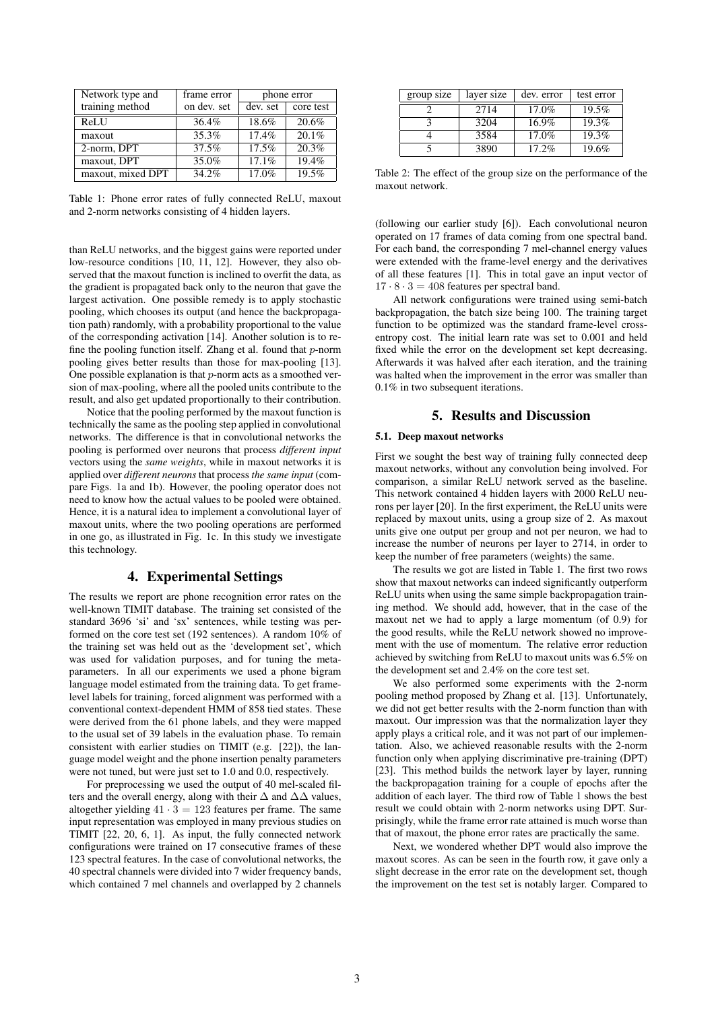| Network type and  | frame error | phone error |           |
|-------------------|-------------|-------------|-----------|
| training method   | on dev. set | dev. set    | core test |
| ReLU              | 36.4%       | 18.6%       | 20.6%     |
| maxout            | 35.3%       | 17.4%       | 20.1%     |
| 2-norm, DPT       | 37.5%       | 17.5%       | 20.3%     |
| maxout, DPT       | 35.0%       | 17.1%       | 19.4%     |
| maxout, mixed DPT | 34.2%       | 17.0%       | 19.5%     |

Table 1: Phone error rates of fully connected ReLU, maxout and 2-norm networks consisting of 4 hidden layers.

than ReLU networks, and the biggest gains were reported under low-resource conditions [10, 11, 12]. However, they also observed that the maxout function is inclined to overfit the data, as the gradient is propagated back only to the neuron that gave the largest activation. One possible remedy is to apply stochastic pooling, which chooses its output (and hence the backpropagation path) randomly, with a probability proportional to the value of the corresponding activation [14]. Another solution is to refine the pooling function itself. Zhang et al. found that  $p$ -norm pooling gives better results than those for max-pooling [13]. One possible explanation is that  $p$ -norm acts as a smoothed version of max-pooling, where all the pooled units contribute to the result, and also get updated proportionally to their contribution.

Notice that the pooling performed by the maxout function is technically the same as the pooling step applied in convolutional networks. The difference is that in convolutional networks the pooling is performed over neurons that process *different input* vectors using the *same weights*, while in maxout networks it is applied over *different neurons* that process *the same input* (compare Figs. 1a and 1b). However, the pooling operator does not need to know how the actual values to be pooled were obtained. Hence, it is a natural idea to implement a convolutional layer of maxout units, where the two pooling operations are performed in one go, as illustrated in Fig. 1c. In this study we investigate this technology.

## **4. Experimental Settings**

The results we report are phone recognition error rates on the well-known TIMIT database. The training set consisted of the standard 3696 'si' and 'sx' sentences, while testing was performed on the core test set (192 sentences). A random 10% of the training set was held out as the 'development set', which was used for validation purposes, and for tuning the metaparameters. In all our experiments we used a phone bigram language model estimated from the training data. To get framelevel labels for training, forced alignment was performed with a conventional context-dependent HMM of 858 tied states. These were derived from the 61 phone labels, and they were mapped to the usual set of 39 labels in the evaluation phase. To remain consistent with earlier studies on TIMIT (e.g. [22]), the language model weight and the phone insertion penalty parameters were not tuned, but were just set to 1.0 and 0.0, respectively.

For preprocessing we used the output of 40 mel-scaled filters and the overall energy, along with their  $\Delta$  and  $\Delta\Delta$  values, altogether yielding  $41 \cdot 3 = 123$  features per frame. The same input representation was employed in many previous studies on TIMIT [22, 20, 6, 1]. As input, the fully connected network configurations were trained on 17 consecutive frames of these 123 spectral features. In the case of convolutional networks, the 40 spectral channels were divided into 7 wider frequency bands, which contained 7 mel channels and overlapped by 2 channels

| group size | layer size | dev. error | test error |
|------------|------------|------------|------------|
|            | 2714       | $17.0\%$   | 19.5%      |
|            | 3204       | $16.9\%$   | 19.3%      |
|            | 3584       | $17.0\%$   | 19.3%      |
|            | 3890       | $17.2\%$   | 19.6%      |

Table 2: The effect of the group size on the performance of the maxout network.

(following our earlier study [6]). Each convolutional neuron operated on 17 frames of data coming from one spectral band. For each band, the corresponding 7 mel-channel energy values were extended with the frame-level energy and the derivatives of all these features [1]. This in total gave an input vector of  $17 \cdot 8 \cdot 3 = 408$  features per spectral band.

All network configurations were trained using semi-batch backpropagation, the batch size being 100. The training target function to be optimized was the standard frame-level crossentropy cost. The initial learn rate was set to 0.001 and held fixed while the error on the development set kept decreasing. Afterwards it was halved after each iteration, and the training was halted when the improvement in the error was smaller than 0.1% in two subsequent iterations.

### **5. Results and Discussion**

#### **5.1. Deep maxout networks**

First we sought the best way of training fully connected deep maxout networks, without any convolution being involved. For comparison, a similar ReLU network served as the baseline. This network contained 4 hidden layers with 2000 ReLU neurons per layer [20]. In the first experiment, the ReLU units were replaced by maxout units, using a group size of 2. As maxout units give one output per group and not per neuron, we had to increase the number of neurons per layer to 2714, in order to keep the number of free parameters (weights) the same.

The results we got are listed in Table 1. The first two rows show that maxout networks can indeed significantly outperform ReLU units when using the same simple backpropagation training method. We should add, however, that in the case of the maxout net we had to apply a large momentum (of 0.9) for the good results, while the ReLU network showed no improvement with the use of momentum. The relative error reduction achieved by switching from ReLU to maxout units was 6.5% on the development set and 2.4% on the core test set.

We also performed some experiments with the 2-norm pooling method proposed by Zhang et al. [13]. Unfortunately, we did not get better results with the 2-norm function than with maxout. Our impression was that the normalization layer they apply plays a critical role, and it was not part of our implementation. Also, we achieved reasonable results with the 2-norm function only when applying discriminative pre-training (DPT) [23]. This method builds the network layer by layer, running the backpropagation training for a couple of epochs after the addition of each layer. The third row of Table 1 shows the best result we could obtain with 2-norm networks using DPT. Surprisingly, while the frame error rate attained is much worse than that of maxout, the phone error rates are practically the same.

Next, we wondered whether DPT would also improve the maxout scores. As can be seen in the fourth row, it gave only a slight decrease in the error rate on the development set, though the improvement on the test set is notably larger. Compared to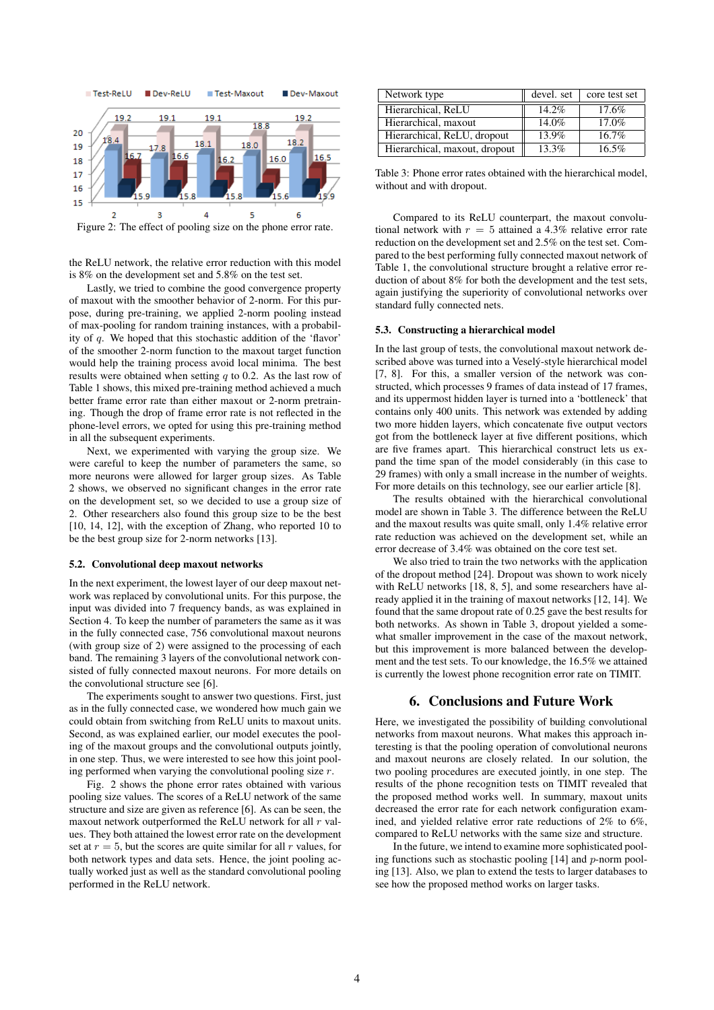

Figure 2: The effect of pooling size on the phone error rate.

the ReLU network, the relative error reduction with this model is 8% on the development set and 5.8% on the test set.

Lastly, we tried to combine the good convergence property of maxout with the smoother behavior of 2-norm. For this purpose, during pre-training, we applied 2-norm pooling instead of max-pooling for random training instances, with a probability of q. We hoped that this stochastic addition of the 'flavor' of the smoother 2-norm function to the maxout target function would help the training process avoid local minima. The best results were obtained when setting  $q$  to 0.2. As the last row of Table 1 shows, this mixed pre-training method achieved a much better frame error rate than either maxout or 2-norm pretraining. Though the drop of frame error rate is not reflected in the phone-level errors, we opted for using this pre-training method in all the subsequent experiments.

Next, we experimented with varying the group size. We were careful to keep the number of parameters the same, so more neurons were allowed for larger group sizes. As Table 2 shows, we observed no significant changes in the error rate on the development set, so we decided to use a group size of 2. Other researchers also found this group size to be the best [10, 14, 12], with the exception of Zhang, who reported 10 to be the best group size for 2-norm networks [13].

#### **5.2. Convolutional deep maxout networks**

In the next experiment, the lowest layer of our deep maxout network was replaced by convolutional units. For this purpose, the input was divided into 7 frequency bands, as was explained in Section 4. To keep the number of parameters the same as it was in the fully connected case, 756 convolutional maxout neurons (with group size of 2) were assigned to the processing of each band. The remaining 3 layers of the convolutional network consisted of fully connected maxout neurons. For more details on the convolutional structure see [6].

The experiments sought to answer two questions. First, just as in the fully connected case, we wondered how much gain we could obtain from switching from ReLU units to maxout units. Second, as was explained earlier, our model executes the pooling of the maxout groups and the convolutional outputs jointly, in one step. Thus, we were interested to see how this joint pooling performed when varying the convolutional pooling size r.

Fig. 2 shows the phone error rates obtained with various pooling size values. The scores of a ReLU network of the same structure and size are given as reference [6]. As can be seen, the maxout network outperformed the ReLU network for all  $r$  values. They both attained the lowest error rate on the development set at  $r = 5$ , but the scores are quite similar for all r values, for both network types and data sets. Hence, the joint pooling actually worked just as well as the standard convolutional pooling performed in the ReLU network.

| Network type                  | devel. set | core test set |
|-------------------------------|------------|---------------|
| Hierarchical, ReLU            | 14.2%      | 17.6%         |
| Hierarchical, maxout          | 14.0%      | 17.0%         |
| Hierarchical, ReLU, dropout   | $13.9\%$   | $16.7\%$      |
| Hierarchical, maxout, dropout | $13.3\%$   | 16.5%         |

Table 3: Phone error rates obtained with the hierarchical model, without and with dropout.

Compared to its ReLU counterpart, the maxout convolutional network with  $r = 5$  attained a 4.3% relative error rate reduction on the development set and 2.5% on the test set. Compared to the best performing fully connected maxout network of Table 1, the convolutional structure brought a relative error reduction of about 8% for both the development and the test sets, again justifying the superiority of convolutional networks over standard fully connected nets.

#### **5.3. Constructing a hierarchical model**

In the last group of tests, the convolutional maxout network described above was turned into a Veselý-style hierarchical model [7, 8]. For this, a smaller version of the network was constructed, which processes 9 frames of data instead of 17 frames, and its uppermost hidden layer is turned into a 'bottleneck' that contains only 400 units. This network was extended by adding two more hidden layers, which concatenate five output vectors got from the bottleneck layer at five different positions, which are five frames apart. This hierarchical construct lets us expand the time span of the model considerably (in this case to 29 frames) with only a small increase in the number of weights. For more details on this technology, see our earlier article [8].

The results obtained with the hierarchical convolutional model are shown in Table 3. The difference between the ReLU and the maxout results was quite small, only 1.4% relative error rate reduction was achieved on the development set, while an error decrease of 3.4% was obtained on the core test set.

We also tried to train the two networks with the application of the dropout method [24]. Dropout was shown to work nicely with ReLU networks [18, 8, 5], and some researchers have already applied it in the training of maxout networks [12, 14]. We found that the same dropout rate of 0.25 gave the best results for both networks. As shown in Table 3, dropout yielded a somewhat smaller improvement in the case of the maxout network, but this improvement is more balanced between the development and the test sets. To our knowledge, the 16.5% we attained is currently the lowest phone recognition error rate on TIMIT.

## **6. Conclusions and Future Work**

Here, we investigated the possibility of building convolutional networks from maxout neurons. What makes this approach interesting is that the pooling operation of convolutional neurons and maxout neurons are closely related. In our solution, the two pooling procedures are executed jointly, in one step. The results of the phone recognition tests on TIMIT revealed that the proposed method works well. In summary, maxout units decreased the error rate for each network configuration examined, and yielded relative error rate reductions of 2% to 6%, compared to ReLU networks with the same size and structure.

In the future, we intend to examine more sophisticated pooling functions such as stochastic pooling  $[14]$  and p-norm pooling [13]. Also, we plan to extend the tests to larger databases to see how the proposed method works on larger tasks.